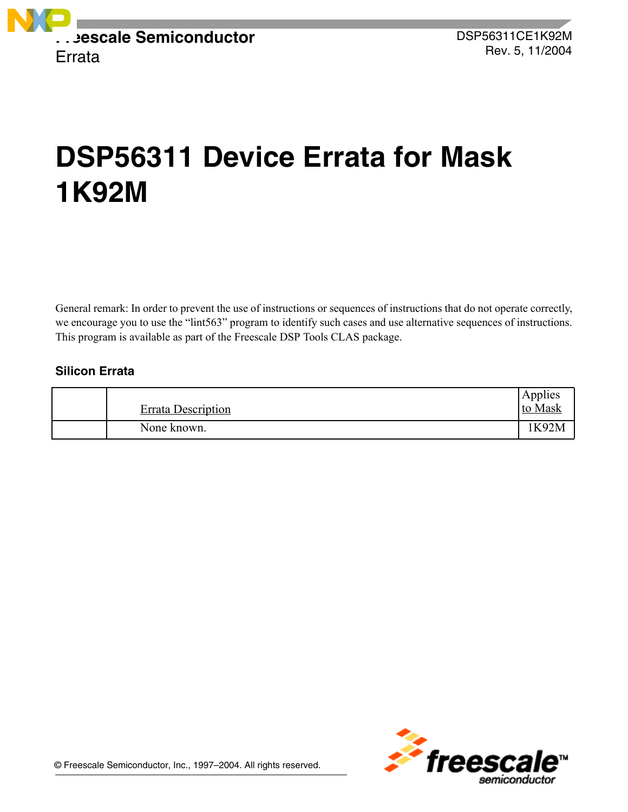

# **DSP56311 Device Errata for Mask 1K92M**

General remark: In order to prevent the use of instructions or sequences of instructions that do not operate correctly, we encourage you to use the "lint563" program to identify such cases and use alternative sequences of instructions. This program is available as part of the Freescale DSP Tools CLAS package.

# **Silicon Errata**

| <b>Errata Description</b> | Applies<br>to Mask |
|---------------------------|--------------------|
| None known.               | <b>K92M</b>        |

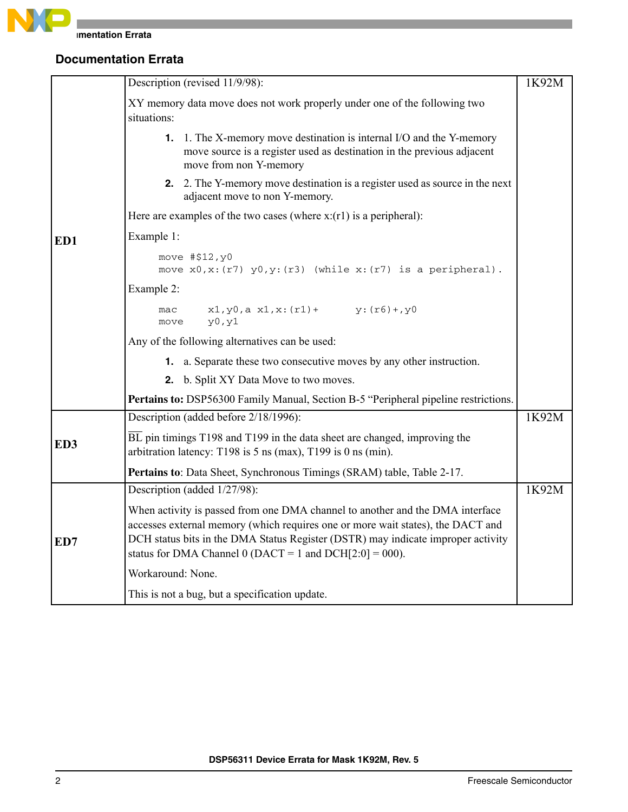

|                 | Description (revised 11/9/98):                                                                                                                                                                                                                                                                                      | 1K92M |
|-----------------|---------------------------------------------------------------------------------------------------------------------------------------------------------------------------------------------------------------------------------------------------------------------------------------------------------------------|-------|
|                 | XY memory data move does not work properly under one of the following two<br>situations:                                                                                                                                                                                                                            |       |
|                 | 1. 1. The X-memory move destination is internal I/O and the Y-memory<br>move source is a register used as destination in the previous adjacent<br>move from non Y-memory                                                                                                                                            |       |
|                 | 2. 2. The Y-memory move destination is a register used as source in the next<br>adjacent move to non Y-memory.                                                                                                                                                                                                      |       |
|                 | Here are examples of the two cases (where $x:(r1)$ is a peripheral):                                                                                                                                                                                                                                                |       |
| ED1             | Example 1:                                                                                                                                                                                                                                                                                                          |       |
|                 | move #\$12, y0<br>move $x0, x: (r7)$ $y0, y: (r3)$ (while $x: (r7)$ is a peripheral).                                                                                                                                                                                                                               |       |
|                 | Example 2:                                                                                                                                                                                                                                                                                                          |       |
|                 | $x1, y0, a x1, x: (r1)+ y: (r6)+, y0$<br>mac<br>y0, y1<br>move                                                                                                                                                                                                                                                      |       |
|                 | Any of the following alternatives can be used:                                                                                                                                                                                                                                                                      |       |
|                 | <b>1.</b> a. Separate these two consecutive moves by any other instruction.                                                                                                                                                                                                                                         |       |
|                 | 2. b. Split XY Data Move to two moves.                                                                                                                                                                                                                                                                              |       |
|                 | Pertains to: DSP56300 Family Manual, Section B-5 "Peripheral pipeline restrictions.                                                                                                                                                                                                                                 |       |
|                 | Description (added before 2/18/1996):                                                                                                                                                                                                                                                                               | 1K92M |
| ED <sub>3</sub> | $\overline{BL}$ pin timings T198 and T199 in the data sheet are changed, improving the<br>arbitration latency: T198 is $5$ ns (max), T199 is 0 ns (min).                                                                                                                                                            |       |
|                 | Pertains to: Data Sheet, Synchronous Timings (SRAM) table, Table 2-17.                                                                                                                                                                                                                                              |       |
|                 | Description (added 1/27/98):                                                                                                                                                                                                                                                                                        | 1K92M |
| ED7             | When activity is passed from one DMA channel to another and the DMA interface<br>accesses external memory (which requires one or more wait states), the DACT and<br>DCH status bits in the DMA Status Register (DSTR) may indicate improper activity<br>status for DMA Channel 0 (DACT = 1 and DCH $[2:0] = 000$ ). |       |
|                 | Workaround: None.                                                                                                                                                                                                                                                                                                   |       |
|                 | This is not a bug, but a specification update.                                                                                                                                                                                                                                                                      |       |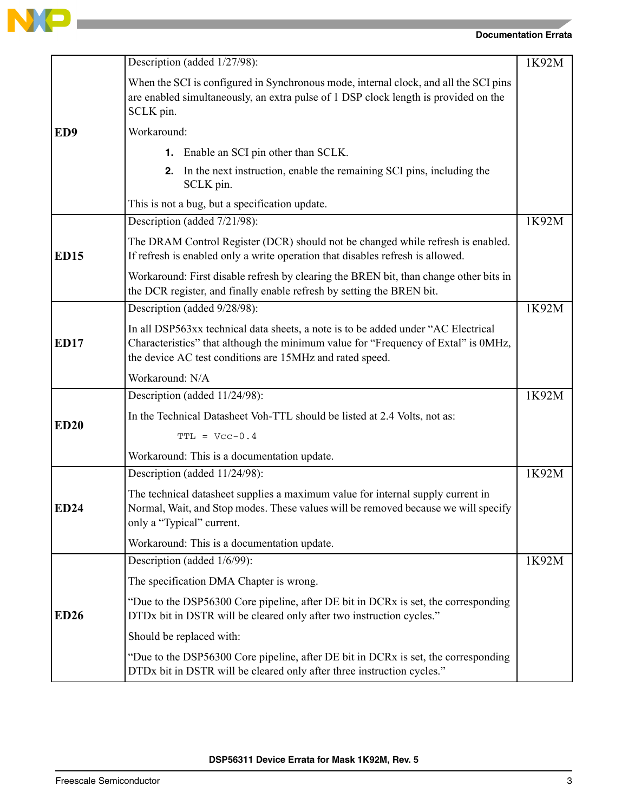

**Contract of the Contract of Contract of the Contract of Contract of the Contract of Contract of Contract of T** 

|                 | Description (added 1/27/98):                                                                                                                                                                                                        | 1K92M |
|-----------------|-------------------------------------------------------------------------------------------------------------------------------------------------------------------------------------------------------------------------------------|-------|
|                 | When the SCI is configured in Synchronous mode, internal clock, and all the SCI pins<br>are enabled simultaneously, an extra pulse of 1 DSP clock length is provided on the<br>SCLK pin.                                            |       |
| ED <sub>9</sub> | Workaround:                                                                                                                                                                                                                         |       |
|                 | <b>1.</b> Enable an SCI pin other than SCLK.                                                                                                                                                                                        |       |
|                 | In the next instruction, enable the remaining SCI pins, including the<br>2.<br>SCLK pin.                                                                                                                                            |       |
|                 | This is not a bug, but a specification update.                                                                                                                                                                                      |       |
|                 | Description (added 7/21/98):                                                                                                                                                                                                        | 1K92M |
| <b>ED15</b>     | The DRAM Control Register (DCR) should not be changed while refresh is enabled.<br>If refresh is enabled only a write operation that disables refresh is allowed.                                                                   |       |
|                 | Workaround: First disable refresh by clearing the BREN bit, than change other bits in<br>the DCR register, and finally enable refresh by setting the BREN bit.                                                                      |       |
|                 | Description (added 9/28/98):                                                                                                                                                                                                        | 1K92M |
| <b>ED17</b>     | In all DSP563xx technical data sheets, a note is to be added under "AC Electrical<br>Characteristics" that although the minimum value for "Frequency of Extal" is 0MHz,<br>the device AC test conditions are 15MHz and rated speed. |       |
|                 | Workaround: N/A                                                                                                                                                                                                                     |       |
|                 | Description (added 11/24/98):                                                                                                                                                                                                       | 1K92M |
| <b>ED20</b>     | In the Technical Datasheet Voh-TTL should be listed at 2.4 Volts, not as:                                                                                                                                                           |       |
|                 | $TTL = Vcc-0.4$                                                                                                                                                                                                                     |       |
|                 | Workaround: This is a documentation update.                                                                                                                                                                                         |       |
|                 | Description (added 11/24/98):                                                                                                                                                                                                       | 1K92M |
| <b>ED24</b>     | The technical datasheet supplies a maximum value for internal supply current in<br>Normal, Wait, and Stop modes. These values will be removed because we will specify<br>only a "Typical" current.                                  |       |
|                 | Workaround: This is a documentation update.                                                                                                                                                                                         |       |
|                 | Description (added 1/6/99):                                                                                                                                                                                                         | 1K92M |
|                 | The specification DMA Chapter is wrong.                                                                                                                                                                                             |       |
| <b>ED26</b>     | "Due to the DSP56300 Core pipeline, after DE bit in DCRx is set, the corresponding<br>DTDx bit in DSTR will be cleared only after two instruction cycles."                                                                          |       |
|                 | Should be replaced with:                                                                                                                                                                                                            |       |
|                 | "Due to the DSP56300 Core pipeline, after DE bit in DCRx is set, the corresponding<br>DTDx bit in DSTR will be cleared only after three instruction cycles."                                                                        |       |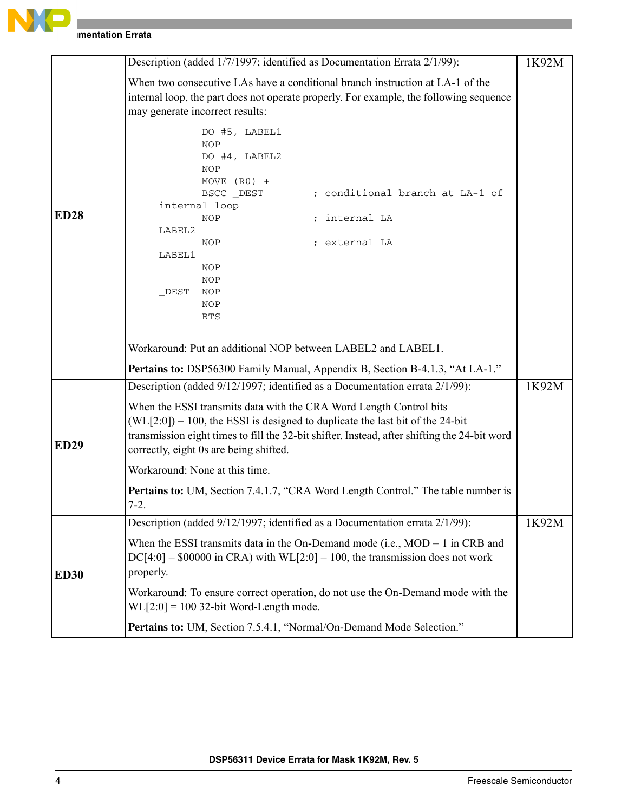

|             | Description (added 1/7/1997; identified as Documentation Errata 2/1/99):                                                                                                                                                                                                                                                                                        | 1K92M |
|-------------|-----------------------------------------------------------------------------------------------------------------------------------------------------------------------------------------------------------------------------------------------------------------------------------------------------------------------------------------------------------------|-------|
|             | When two consecutive LAs have a conditional branch instruction at LA-1 of the<br>internal loop, the part does not operate properly. For example, the following sequence<br>may generate incorrect results:                                                                                                                                                      |       |
| <b>ED28</b> | DO #5, LABEL1<br><b>NOP</b><br>DO #4, LABEL2<br><b>NOP</b><br>MOVE $(R0)$ +<br>; conditional branch at LA-1 of<br>BSCC DEST<br>internal loop<br><b>NOP</b><br>internal LA<br>LABEL2<br>; external LA<br>NOP<br>LABEL1<br><b>NOP</b><br><b>NOP</b><br>$_DEST$<br><b>NOP</b><br><b>NOP</b><br>RTS<br>Workaround: Put an additional NOP between LABEL2 and LABEL1. |       |
|             | <b>Pertains to:</b> DSP56300 Family Manual, Appendix B, Section B-4.1.3, "At LA-1."                                                                                                                                                                                                                                                                             |       |
|             | Description (added 9/12/1997; identified as a Documentation errata 2/1/99):                                                                                                                                                                                                                                                                                     | 1K92M |
| <b>ED29</b> | When the ESSI transmits data with the CRA Word Length Control bits<br>$(WL[2:0]) = 100$ , the ESSI is designed to duplicate the last bit of the 24-bit<br>transmission eight times to fill the 32-bit shifter. Instead, after shifting the 24-bit word<br>correctly, eight 0s are being shifted.                                                                |       |
|             | Workaround: None at this time.                                                                                                                                                                                                                                                                                                                                  |       |
|             | <b>Pertains to:</b> UM, Section 7.4.1.7, "CRA Word Length Control." The table number is<br>$7-2.$                                                                                                                                                                                                                                                               |       |
|             | Description (added 9/12/1997; identified as a Documentation errata 2/1/99):                                                                                                                                                                                                                                                                                     | 1K92M |
| <b>ED30</b> | When the ESSI transmits data in the On-Demand mode (i.e., $MOD = 1$ in CRB and<br>$DC[4:0] = $00000$ in CRA) with $WL[2:0] = 100$ , the transmission does not work<br>properly.                                                                                                                                                                                 |       |
|             | Workaround: To ensure correct operation, do not use the On-Demand mode with the<br>$WL[2:0] = 100$ 32-bit Word-Length mode.                                                                                                                                                                                                                                     |       |
|             | Pertains to: UM, Section 7.5.4.1, "Normal/On-Demand Mode Selection."                                                                                                                                                                                                                                                                                            |       |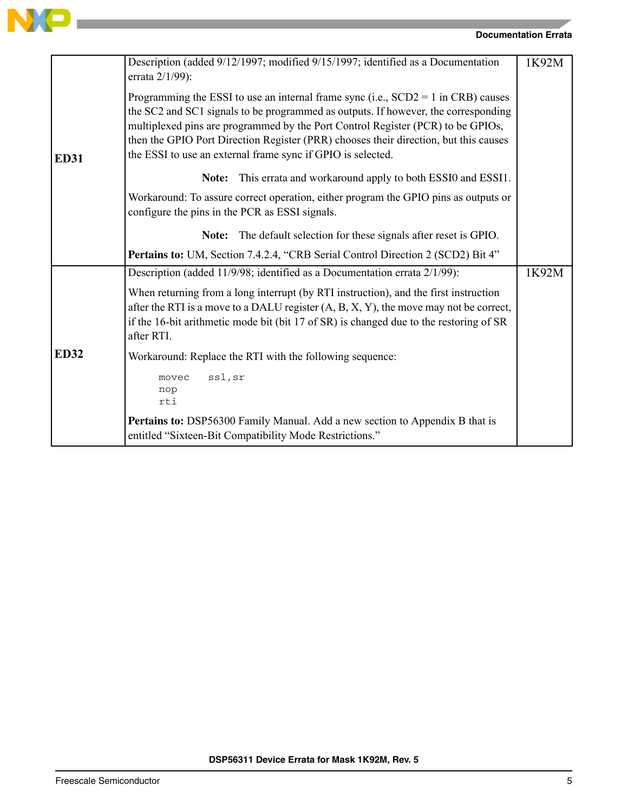

the control of the control of the control of

|             | Description (added 9/12/1997; modified 9/15/1997; identified as a Documentation<br>errata 2/1/99):                                                                                                                                                                                                                                                                                                                  | 1K92M |
|-------------|---------------------------------------------------------------------------------------------------------------------------------------------------------------------------------------------------------------------------------------------------------------------------------------------------------------------------------------------------------------------------------------------------------------------|-------|
| <b>ED31</b> | Programming the ESSI to use an internal frame sync (i.e., $SCD2 = 1$ in CRB) causes<br>the SC2 and SC1 signals to be programmed as outputs. If however, the corresponding<br>multiplexed pins are programmed by the Port Control Register (PCR) to be GPIOs,<br>then the GPIO Port Direction Register (PRR) chooses their direction, but this causes<br>the ESSI to use an external frame sync if GPIO is selected. |       |
|             | This errata and workaround apply to both ESSI0 and ESSI1.<br>Note:                                                                                                                                                                                                                                                                                                                                                  |       |
|             | Workaround: To assure correct operation, either program the GPIO pins as outputs or<br>configure the pins in the PCR as ESSI signals.                                                                                                                                                                                                                                                                               |       |
|             | The default selection for these signals after reset is GPIO.<br>Note:                                                                                                                                                                                                                                                                                                                                               |       |
|             | Pertains to: UM, Section 7.4.2.4, "CRB Serial Control Direction 2 (SCD2) Bit 4"                                                                                                                                                                                                                                                                                                                                     |       |
|             | Description (added 11/9/98; identified as a Documentation errata 2/1/99):                                                                                                                                                                                                                                                                                                                                           | 1K92M |
|             | When returning from a long interrupt (by RTI instruction), and the first instruction<br>after the RTI is a move to a DALU register $(A, B, X, Y)$ , the move may not be correct,<br>if the 16-bit arithmetic mode bit (bit 17 of SR) is changed due to the restoring of SR<br>after RTI.                                                                                                                            |       |
| <b>ED32</b> | Workaround: Replace the RTI with the following sequence:                                                                                                                                                                                                                                                                                                                                                            |       |
|             | ssl, sr<br>movec<br>nop<br>rti                                                                                                                                                                                                                                                                                                                                                                                      |       |
|             | Pertains to: DSP56300 Family Manual. Add a new section to Appendix B that is<br>entitled "Sixteen-Bit Compatibility Mode Restrictions."                                                                                                                                                                                                                                                                             |       |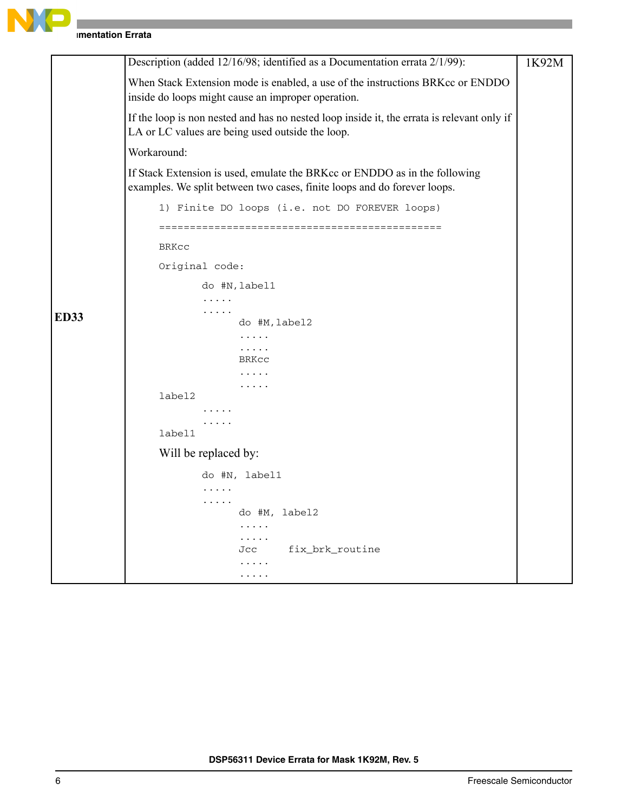

**Imentation Errata** 

|             | Description (added 12/16/98; identified as a Documentation errata 2/1/99):                                                                             | 1K92M |
|-------------|--------------------------------------------------------------------------------------------------------------------------------------------------------|-------|
|             | When Stack Extension mode is enabled, a use of the instructions BRKcc or ENDDO<br>inside do loops might cause an improper operation.                   |       |
|             | If the loop is non nested and has no nested loop inside it, the errata is relevant only if<br>LA or LC values are being used outside the loop.         |       |
|             | Workaround:                                                                                                                                            |       |
|             | If Stack Extension is used, emulate the BRKcc or ENDDO as in the following<br>examples. We split between two cases, finite loops and do forever loops. |       |
|             | 1) Finite DO loops (i.e. not DO FOREVER loops)                                                                                                         |       |
|             |                                                                                                                                                        |       |
|             | <b>BRKCC</b>                                                                                                                                           |       |
|             | Original code:                                                                                                                                         |       |
|             | do #N, label1                                                                                                                                          |       |
|             | .<br>.                                                                                                                                                 |       |
| <b>ED33</b> | do #M, label2                                                                                                                                          |       |
|             | $\cdots$<br>$\cdots$                                                                                                                                   |       |
|             | BRKCC                                                                                                                                                  |       |
|             | .                                                                                                                                                      |       |
|             | label2                                                                                                                                                 |       |
|             |                                                                                                                                                        |       |
|             | .<br>label1                                                                                                                                            |       |
|             | Will be replaced by:                                                                                                                                   |       |
|             | do #N, label1                                                                                                                                          |       |
|             | .                                                                                                                                                      |       |
|             | .                                                                                                                                                      |       |
|             | do #M, label2                                                                                                                                          |       |
|             | .<br>.                                                                                                                                                 |       |
|             | fix brk routine<br>Jcc                                                                                                                                 |       |
|             |                                                                                                                                                        |       |
|             | .                                                                                                                                                      |       |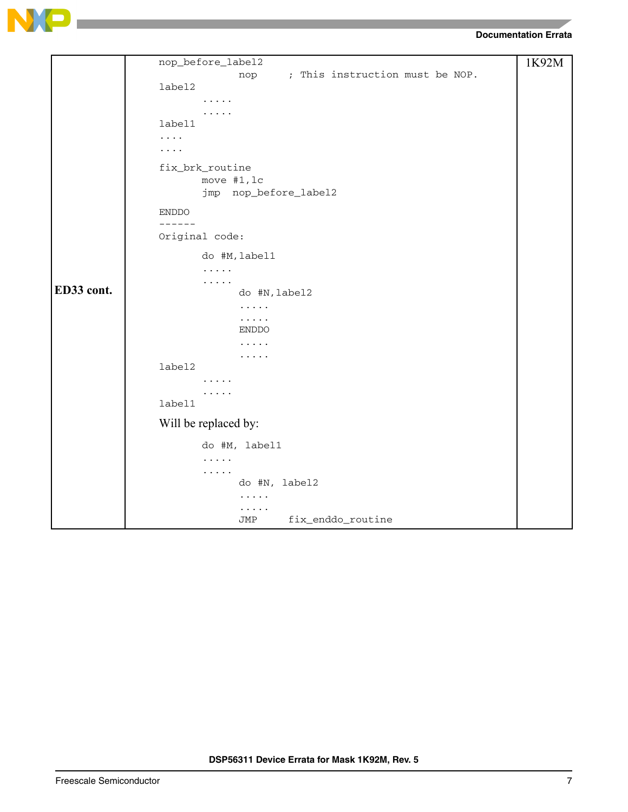

```
ED33 cont.
     nop_before_label2
                  nop ; This instruction must be NOP.
     label2
            .....
             .....
     label1
     ....
     ....
     fix_brk_routine
            move #1,lc
            jmp nop_before_label2
     ENDDO
     ------
     Original code:
            do #M,label1
            .....
            .....
                  do #N,label2
                  .....
                   .....
                  ENDDO
                   .....
                   .....
     label2
            .....
             .....
     label1
     Will be replaced by:
            do #M, label1
             .....
             .....
                  do #N, label2
                  .....
                   .....
                  JMP fix_enddo_routine
                                                                   1K92M
```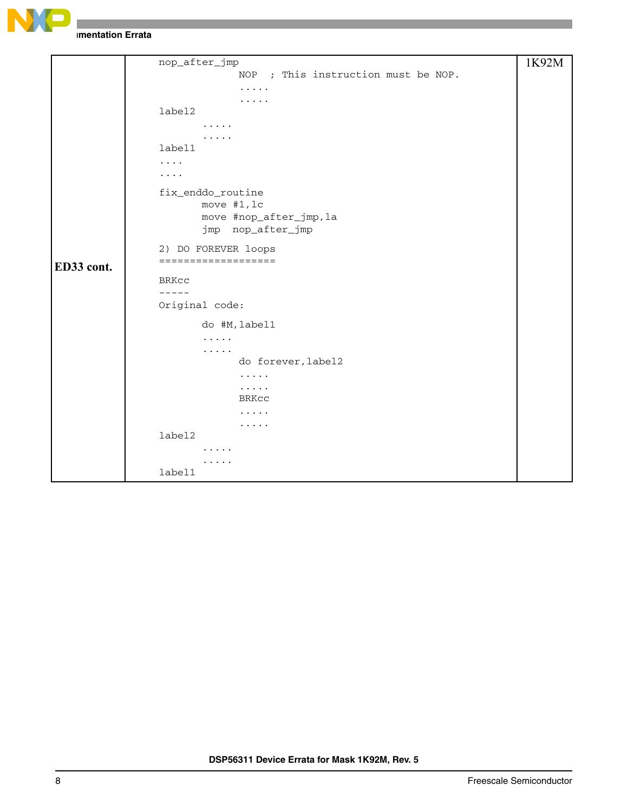

**Imentation Errata** 

```
ED33 cont.
     nop_after_jmp
                  NOP ; This instruction must be NOP.
                   .....
                   .....
     label2
            .....
             .....
     label1
     ....
     ....
     fix_enddo_routine
            move #1,lc
            move #nop_after_jmp,la
            jmp nop_after_jmp
     2) DO FOREVER loops
     ===================
     BRKcc
     -----
     Original code:
            do #M,label1
             .....
             .....
                   do forever,label2
                   .....
                   .....
                  BRKcc
                   .....
                   .....
     label2
             .....
             .....
     label1
                                                                   1K92M
```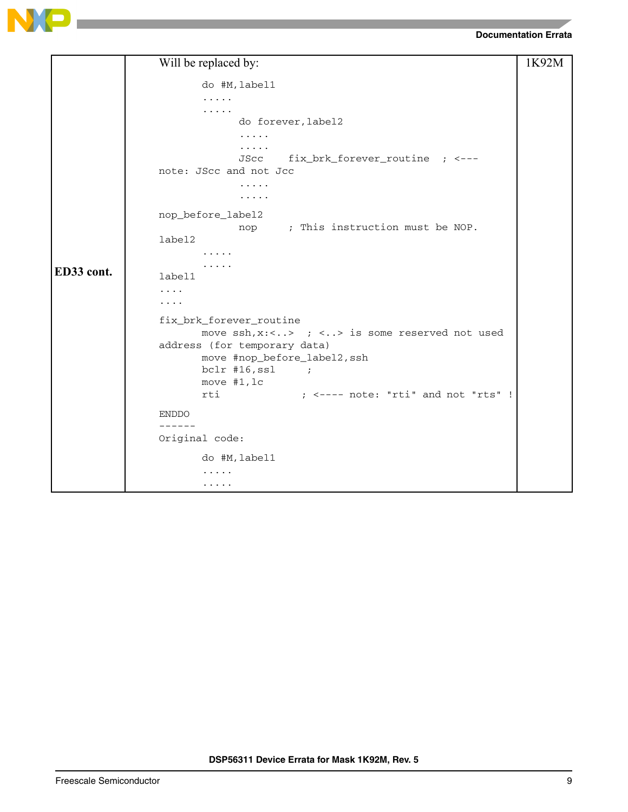



|            | Will be replaced by:                                            | 1K92M |
|------------|-----------------------------------------------------------------|-------|
|            | do #M, label1                                                   |       |
|            | .                                                               |       |
|            | .                                                               |       |
|            | do forever, label2                                              |       |
|            | .                                                               |       |
|            | .                                                               |       |
|            | fix_brk_forever_routine ; <---<br>JScc                          |       |
|            | note: JScc and not Jcc                                          |       |
|            | .                                                               |       |
|            | $\cdots\cdots\cdots$                                            |       |
|            | nop_before_label2                                               |       |
|            | nop ; This instruction must be NOP.                             |       |
|            | label2                                                          |       |
|            | .                                                               |       |
|            |                                                                 |       |
| ED33 cont. | label1                                                          |       |
|            | .                                                               |       |
|            | .                                                               |       |
|            | fix_brk_forever_routine                                         |       |
|            | move $\operatorname{ssh}$ , x:<> ; <> is some reserved not used |       |
|            | address (for temporary data)                                    |       |
|            | move #nop_before_label2, ssh                                    |       |
|            | $bc1r$ #16, ssl<br>$\overline{\phantom{a}}$                     |       |
|            | move $#1, 1c$                                                   |       |
|            | $;$ <---- note: "rti" and not "rts" !<br>rti                    |       |
|            | <b>ENDDO</b>                                                    |       |
|            | ------                                                          |       |
|            | Original code:                                                  |       |
|            | do #M, label1                                                   |       |
|            | .                                                               |       |
|            | .                                                               |       |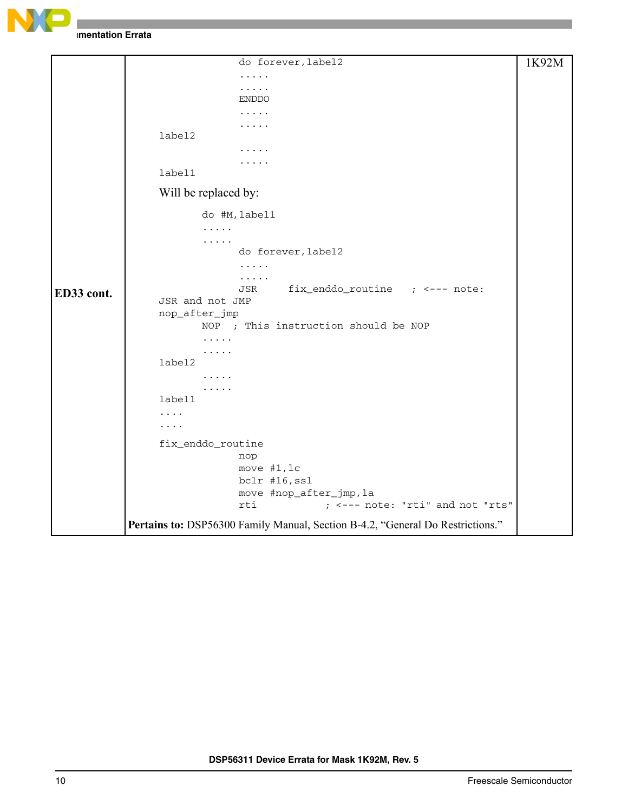

**Imentation Errata** 

|            | do forever, label2                                                             | 1K92M |
|------------|--------------------------------------------------------------------------------|-------|
|            | .                                                                              |       |
|            | .                                                                              |       |
|            | <b>ENDDO</b>                                                                   |       |
|            | .                                                                              |       |
|            | .<br>label2                                                                    |       |
|            |                                                                                |       |
|            |                                                                                |       |
|            | label1                                                                         |       |
|            | Will be replaced by:                                                           |       |
|            | do #M, label1                                                                  |       |
|            | .                                                                              |       |
|            | .                                                                              |       |
|            | do forever, label2                                                             |       |
|            | .                                                                              |       |
|            | .<br>fix_enddo_routine ; <--- note:<br>JSR                                     |       |
| ED33 cont. | JSR and not JMP                                                                |       |
|            | nop_after_jmp                                                                  |       |
|            | NOP ; This instruction should be NOP                                           |       |
|            | .                                                                              |       |
|            | .                                                                              |       |
|            | label2                                                                         |       |
|            | .                                                                              |       |
|            | $\cdots$<br>label1                                                             |       |
|            | .                                                                              |       |
|            | .                                                                              |       |
|            |                                                                                |       |
|            | fix_enddo_routine                                                              |       |
|            | nop<br>move #1, lc                                                             |       |
|            | bclr #16, ssl                                                                  |       |
|            | move #nop_after_jmp, la                                                        |       |
|            | ; <--- note: "rti" and not "rts"<br>rti                                        |       |
|            |                                                                                |       |
|            | Pertains to: DSP56300 Family Manual, Section B-4.2, "General Do Restrictions." |       |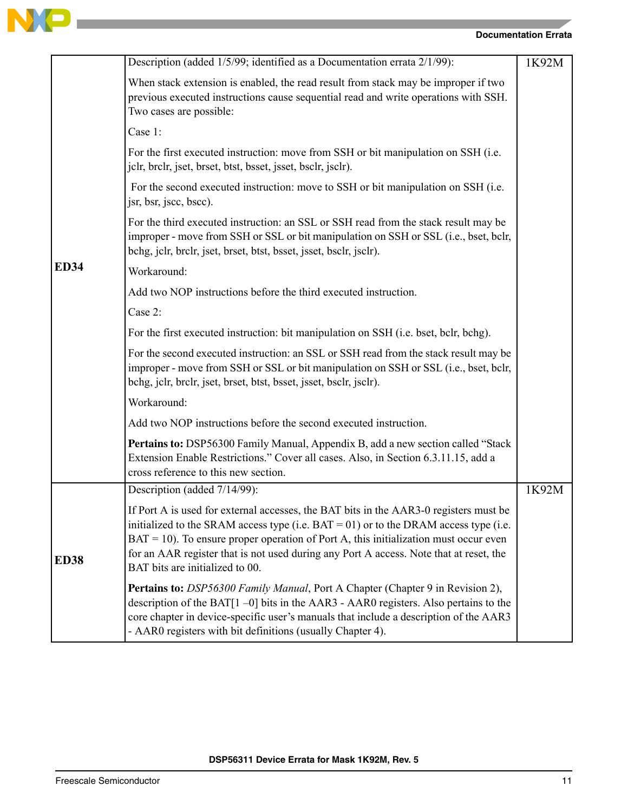

## **Documentation Errata**

|             | Description (added 1/5/99; identified as a Documentation errata 2/1/99):                                                                                                                                                                                                                                                                                                                                 | 1K92M |
|-------------|----------------------------------------------------------------------------------------------------------------------------------------------------------------------------------------------------------------------------------------------------------------------------------------------------------------------------------------------------------------------------------------------------------|-------|
|             | When stack extension is enabled, the read result from stack may be improper if two<br>previous executed instructions cause sequential read and write operations with SSH.<br>Two cases are possible:                                                                                                                                                                                                     |       |
|             | Case 1:                                                                                                                                                                                                                                                                                                                                                                                                  |       |
|             | For the first executed instruction: move from SSH or bit manipulation on SSH (i.e.<br>jelr, brelr, jset, brset, btst, bsset, jsset, bselr, jselr).                                                                                                                                                                                                                                                       |       |
|             | For the second executed instruction: move to SSH or bit manipulation on SSH (i.e.<br>jsr, bsr, jscc, bscc).                                                                                                                                                                                                                                                                                              |       |
|             | For the third executed instruction: an SSL or SSH read from the stack result may be<br>improper - move from SSH or SSL or bit manipulation on SSH or SSL (i.e., bset, bclr,<br>bchg, jclr, brclr, jset, brset, btst, bsset, jsset, bsclr, jsclr).                                                                                                                                                        |       |
| <b>ED34</b> | Workaround:                                                                                                                                                                                                                                                                                                                                                                                              |       |
|             | Add two NOP instructions before the third executed instruction.                                                                                                                                                                                                                                                                                                                                          |       |
|             | Case 2:                                                                                                                                                                                                                                                                                                                                                                                                  |       |
|             | For the first executed instruction: bit manipulation on SSH (i.e. bset, bclr, bchg).                                                                                                                                                                                                                                                                                                                     |       |
|             | For the second executed instruction: an SSL or SSH read from the stack result may be<br>improper - move from SSH or SSL or bit manipulation on SSH or SSL (i.e., bset, bclr,<br>bchg, jclr, brclr, jset, brset, btst, bsset, jsset, bsclr, jsclr).                                                                                                                                                       |       |
|             | Workaround:                                                                                                                                                                                                                                                                                                                                                                                              |       |
|             | Add two NOP instructions before the second executed instruction.                                                                                                                                                                                                                                                                                                                                         |       |
|             | Pertains to: DSP56300 Family Manual, Appendix B, add a new section called "Stack<br>Extension Enable Restrictions." Cover all cases. Also, in Section 6.3.11.15, add a<br>cross reference to this new section.                                                                                                                                                                                           |       |
|             | Description (added 7/14/99):                                                                                                                                                                                                                                                                                                                                                                             | 1K92M |
| <b>ED38</b> | If Port A is used for external accesses, the BAT bits in the AAR3-0 registers must be<br>initialized to the SRAM access type (i.e. $BAT = 01$ ) or to the DRAM access type (i.e.<br>$BAT = 10$ ). To ensure proper operation of Port A, this initialization must occur even<br>for an AAR register that is not used during any Port A access. Note that at reset, the<br>BAT bits are initialized to 00. |       |
|             | Pertains to: DSP56300 Family Manual, Port A Chapter (Chapter 9 in Revision 2),<br>description of the BAT[1-0] bits in the AAR3 - AAR0 registers. Also pertains to the<br>core chapter in device-specific user's manuals that include a description of the AAR3<br>- AAR0 registers with bit definitions (usually Chapter 4).                                                                             |       |

and the control of the control of the control of the control of the control of the control of the control of the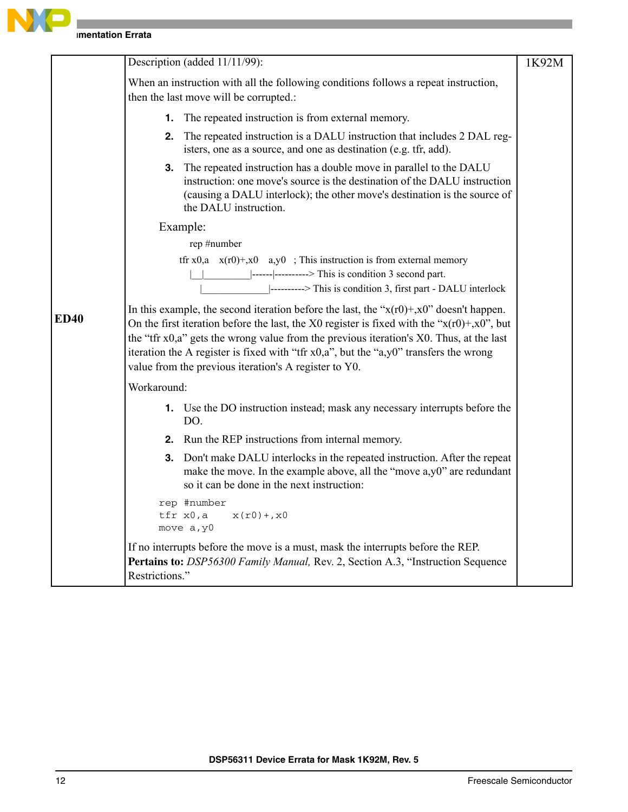

|             | Description (added 11/11/99):                                                                                                                                                                                                                                                                                                                                                                                                                  | 1K92M |
|-------------|------------------------------------------------------------------------------------------------------------------------------------------------------------------------------------------------------------------------------------------------------------------------------------------------------------------------------------------------------------------------------------------------------------------------------------------------|-------|
|             | When an instruction with all the following conditions follows a repeat instruction,<br>then the last move will be corrupted.:                                                                                                                                                                                                                                                                                                                  |       |
|             | <b>1.</b> The repeated instruction is from external memory.                                                                                                                                                                                                                                                                                                                                                                                    |       |
|             | The repeated instruction is a DALU instruction that includes 2 DAL reg-<br>2.<br>isters, one as a source, and one as destination (e.g. tfr, add).                                                                                                                                                                                                                                                                                              |       |
|             | 3. The repeated instruction has a double move in parallel to the DALU<br>instruction: one move's source is the destination of the DALU instruction<br>(causing a DALU interlock); the other move's destination is the source of<br>the DALU instruction.                                                                                                                                                                                       |       |
|             | Example:                                                                                                                                                                                                                                                                                                                                                                                                                                       |       |
|             | rep #number                                                                                                                                                                                                                                                                                                                                                                                                                                    |       |
|             | tfr x0,a $x(r0)$ +,x0 a,y0 ; This instruction is from external memory                                                                                                                                                                                                                                                                                                                                                                          |       |
|             | $\left  \frac{1}{2} \right $ -----------> This is condition 3 second part.<br> ---------> This is condition 3, first part - DALU interlock                                                                                                                                                                                                                                                                                                     |       |
| <b>ED40</b> | In this example, the second iteration before the last, the " $x(r0)$ +, $x0$ " doesn't happen.<br>On the first iteration before the last, the X0 register is fixed with the " $x(r0) + x0$ ", but<br>the "tfr x0,a" gets the wrong value from the previous iteration's X0. Thus, at the last<br>iteration the A register is fixed with "tfr x0,a", but the "a,y0" transfers the wrong<br>value from the previous iteration's A register to Y0. |       |
|             | Workaround:                                                                                                                                                                                                                                                                                                                                                                                                                                    |       |
|             | 1. Use the DO instruction instead; mask any necessary interrupts before the<br>DO.                                                                                                                                                                                                                                                                                                                                                             |       |
|             | 2. Run the REP instructions from internal memory.                                                                                                                                                                                                                                                                                                                                                                                              |       |
|             | Don't make DALU interlocks in the repeated instruction. After the repeat<br>3.<br>make the move. In the example above, all the "move a,y0" are redundant<br>so it can be done in the next instruction:                                                                                                                                                                                                                                         |       |
|             | rep #number<br>tfr x0,a<br>$x(r0) + x0$<br>move a, y0                                                                                                                                                                                                                                                                                                                                                                                          |       |
|             | If no interrupts before the move is a must, mask the interrupts before the REP.<br>Pertains to: DSP56300 Family Manual, Rev. 2, Section A.3, "Instruction Sequence<br>Restrictions."                                                                                                                                                                                                                                                           |       |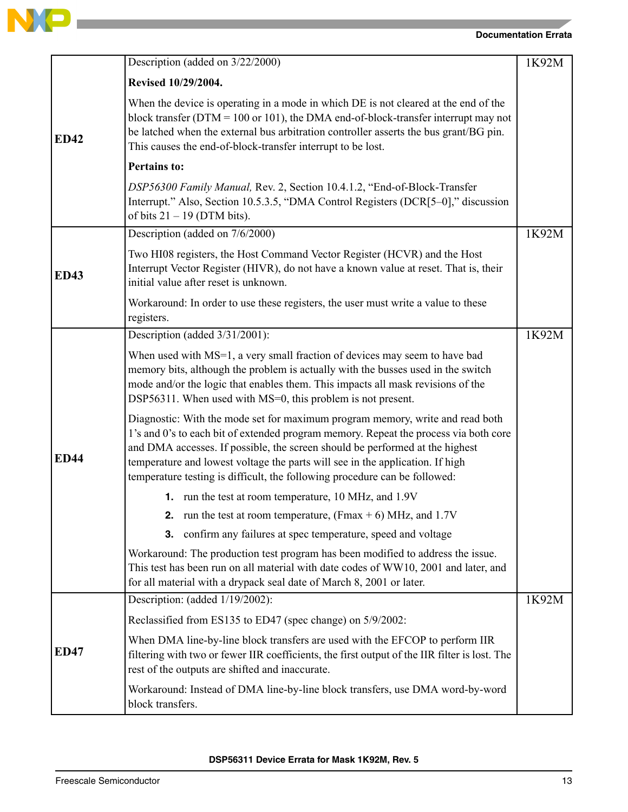

**Contract Contract Contract Contract** 

|             | Description (added on 3/22/2000)                                                                                                                                                                                                                                                                                                                                                                                     | 1K92M |
|-------------|----------------------------------------------------------------------------------------------------------------------------------------------------------------------------------------------------------------------------------------------------------------------------------------------------------------------------------------------------------------------------------------------------------------------|-------|
|             | Revised 10/29/2004.                                                                                                                                                                                                                                                                                                                                                                                                  |       |
| <b>ED42</b> | When the device is operating in a mode in which DE is not cleared at the end of the<br>block transfer ( $DTM = 100$ or 101), the DMA end-of-block-transfer interrupt may not<br>be latched when the external bus arbitration controller asserts the bus grant/BG pin.<br>This causes the end-of-block-transfer interrupt to be lost.                                                                                 |       |
|             | <b>Pertains to:</b>                                                                                                                                                                                                                                                                                                                                                                                                  |       |
|             | DSP56300 Family Manual, Rev. 2, Section 10.4.1.2, "End-of-Block-Transfer<br>Interrupt." Also, Section 10.5.3.5, "DMA Control Registers (DCR[5–0]," discussion<br>of bits $21 - 19$ (DTM bits).                                                                                                                                                                                                                       |       |
|             | Description (added on 7/6/2000)                                                                                                                                                                                                                                                                                                                                                                                      | 1K92M |
| <b>ED43</b> | Two HI08 registers, the Host Command Vector Register (HCVR) and the Host<br>Interrupt Vector Register (HIVR), do not have a known value at reset. That is, their<br>initial value after reset is unknown.                                                                                                                                                                                                            |       |
|             | Workaround: In order to use these registers, the user must write a value to these<br>registers.                                                                                                                                                                                                                                                                                                                      |       |
|             | Description (added 3/31/2001):                                                                                                                                                                                                                                                                                                                                                                                       | 1K92M |
|             | When used with MS=1, a very small fraction of devices may seem to have bad<br>memory bits, although the problem is actually with the busses used in the switch<br>mode and/or the logic that enables them. This impacts all mask revisions of the<br>DSP56311. When used with MS=0, this problem is not present.                                                                                                     |       |
| <b>ED44</b> | Diagnostic: With the mode set for maximum program memory, write and read both<br>1's and 0's to each bit of extended program memory. Repeat the process via both core<br>and DMA accesses. If possible, the screen should be performed at the highest<br>temperature and lowest voltage the parts will see in the application. If high<br>temperature testing is difficult, the following procedure can be followed: |       |
|             | <b>1.</b> run the test at room temperature, 10 MHz, and 1.9V                                                                                                                                                                                                                                                                                                                                                         |       |
|             | <b>2.</b> run the test at room temperature, (Fmax $+$ 6) MHz, and 1.7V                                                                                                                                                                                                                                                                                                                                               |       |
|             | confirm any failures at spec temperature, speed and voltage<br>3.                                                                                                                                                                                                                                                                                                                                                    |       |
|             | Workaround: The production test program has been modified to address the issue.<br>This test has been run on all material with date codes of WW10, 2001 and later, and<br>for all material with a drypack seal date of March 8, 2001 or later.                                                                                                                                                                       |       |
|             | Description: (added 1/19/2002):                                                                                                                                                                                                                                                                                                                                                                                      | 1K92M |
|             | Reclassified from ES135 to ED47 (spec change) on 5/9/2002:                                                                                                                                                                                                                                                                                                                                                           |       |
| <b>ED47</b> | When DMA line-by-line block transfers are used with the EFCOP to perform IIR<br>filtering with two or fewer IIR coefficients, the first output of the IIR filter is lost. The<br>rest of the outputs are shifted and inaccurate.                                                                                                                                                                                     |       |
|             | Workaround: Instead of DMA line-by-line block transfers, use DMA word-by-word<br>block transfers.                                                                                                                                                                                                                                                                                                                    |       |